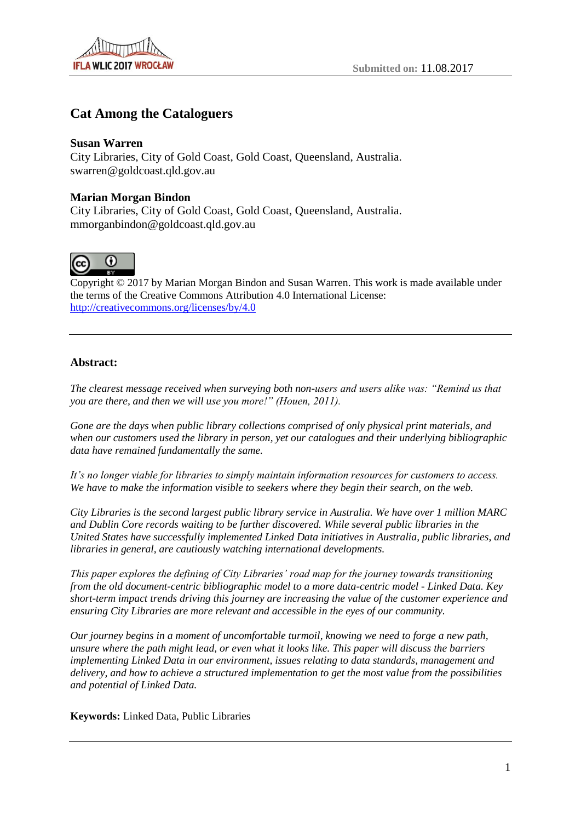# **Cat Among the Cataloguers**

## **Susan Warren**

City Libraries, City of Gold Coast, Gold Coast, Queensland, Australia. swarren@goldcoast.qld.gov.au

## **Marian Morgan Bindon**

City Libraries, City of Gold Coast, Gold Coast, Queensland, Australia. mmorganbindon@goldcoast.qld.gov.au



Copyright © 2017 by Marian Morgan Bindon and Susan Warren. This work is made available under the terms of the Creative Commons Attribution 4.0 International License: <http://creativecommons.org/licenses/by/4.0>

## **Abstract:**

*The clearest message received when surveying both non-users and users alike was: "Remind us that you are there, and then we will use you more!" (Houen, 2011).* 

*Gone are the days when public library collections comprised of only physical print materials, and when our customers used the library in person, yet our catalogues and their underlying bibliographic data have remained fundamentally the same.* 

*It's no longer viable for libraries to simply maintain information resources for customers to access. We have to make the information visible to seekers where they begin their search, on the web.* 

*City Libraries is the second largest public library service in Australia. We have over 1 million MARC and Dublin Core records waiting to be further discovered. While several public libraries in the United States have successfully implemented Linked Data initiatives in Australia, public libraries, and libraries in general, are cautiously watching international developments.* 

*This paper explores the defining of City Libraries' road map for the journey towards transitioning from the old document-centric bibliographic model to a more data-centric model - Linked Data. Key short-term impact trends driving this journey are increasing the value of the customer experience and ensuring City Libraries are more relevant and accessible in the eyes of our community.* 

*Our journey begins in a moment of uncomfortable turmoil, knowing we need to forge a new path, unsure where the path might lead, or even what it looks like. This paper will discuss the barriers implementing Linked Data in our environment, issues relating to data standards, management and delivery, and how to achieve a structured implementation to get the most value from the possibilities and potential of Linked Data.*

**Keywords:** Linked Data, Public Libraries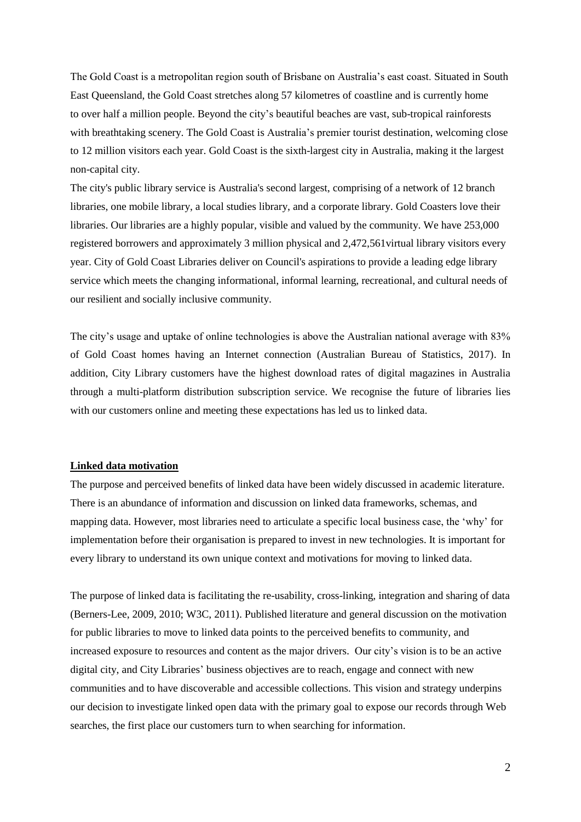The Gold Coast is a metropolitan region south of Brisbane on Australia's east coast. Situated in South East Queensland, the Gold Coast stretches along 57 kilometres of coastline and is currently home to over half a million people. Beyond the city's beautiful beaches are vast, sub-tropical rainforests with breathtaking scenery. The Gold Coast is Australia's premier tourist destination, welcoming close to 12 million visitors each year. Gold Coast is the sixth-largest city in Australia, making it the largest non-capital city.

The city's public library service is Australia's second largest, comprising of a network of 12 branch libraries, one mobile library, a local studies library, and a corporate library. Gold Coasters love their libraries. Our libraries are a highly popular, visible and valued by the community. We have 253,000 registered borrowers and approximately 3 million physical and 2,472,561virtual library visitors every year. City of Gold Coast Libraries deliver on Council's aspirations to provide a leading edge library service which meets the changing informational, informal learning, recreational, and cultural needs of our resilient and socially inclusive community.

The city's usage and uptake of online technologies is above the Australian national average with 83% of Gold Coast homes having an Internet connection (Australian Bureau of Statistics, 2017). In addition, City Library customers have the highest download rates of digital magazines in Australia through a multi-platform distribution subscription service. We recognise the future of libraries lies with our customers online and meeting these expectations has led us to linked data.

### **Linked data motivation**

The purpose and perceived benefits of linked data have been widely discussed in academic literature. There is an abundance of information and discussion on linked data frameworks, schemas, and mapping data. However, most libraries need to articulate a specific local business case, the 'why' for implementation before their organisation is prepared to invest in new technologies. It is important for every library to understand its own unique context and motivations for moving to linked data.

The purpose of linked data is facilitating the re-usability, cross-linking, integration and sharing of data (Berners-Lee, 2009, 2010; W3C, 2011). Published literature and general discussion on the motivation for public libraries to move to linked data points to the perceived benefits to community, and increased exposure to resources and content as the major drivers. Our city's vision is to be an active digital city, and City Libraries' business objectives are to reach, engage and connect with new communities and to have discoverable and accessible collections. This vision and strategy underpins our decision to investigate linked open data with the primary goal to expose our records through Web searches, the first place our customers turn to when searching for information.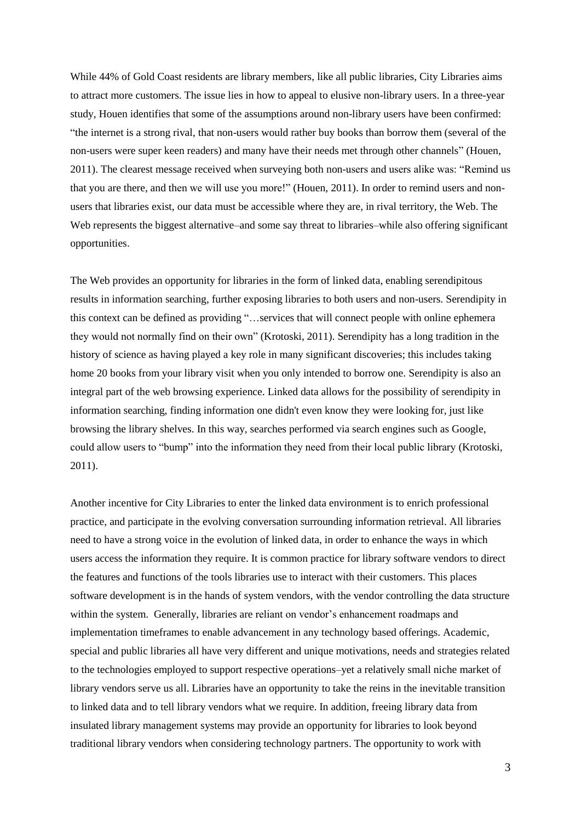While 44% of Gold Coast residents are library members, like all public libraries, City Libraries aims to attract more customers. The issue lies in how to appeal to elusive non-library users. In a three-year study, Houen identifies that some of the assumptions around non-library users have been confirmed: "the internet is a strong rival, that non-users would rather buy books than borrow them (several of the non-users were super keen readers) and many have their needs met through other channels" (Houen, 2011). The clearest message received when surveying both non-users and users alike was: "Remind us that you are there, and then we will use you more!" (Houen, 2011). In order to remind users and nonusers that libraries exist, our data must be accessible where they are, in rival territory, the Web. The Web represents the biggest alternative–and some say threat to libraries–while also offering significant opportunities.

The Web provides an opportunity for libraries in the form of linked data, enabling serendipitous results in information searching, further exposing libraries to both users and non-users. Serendipity in this context can be defined as providing "…services that will connect people with online ephemera they would not normally find on their own" (Krotoski, 2011). Serendipity has a long tradition in the history of science as having played a key role in many significant discoveries; this includes taking home 20 books from your library visit when you only intended to borrow one. Serendipity is also an integral part of the web browsing experience. Linked data allows for the possibility of serendipity in information searching, finding information one didn't even know they were looking for, just like browsing the library shelves. In this way, searches performed via search engines such as Google, could allow users to "bump" into the information they need from their local public library (Krotoski, 2011).

Another incentive for City Libraries to enter the linked data environment is to enrich professional practice, and participate in the evolving conversation surrounding information retrieval. All libraries need to have a strong voice in the evolution of linked data, in order to enhance the ways in which users access the information they require. It is common practice for library software vendors to direct the features and functions of the tools libraries use to interact with their customers. This places software development is in the hands of system vendors, with the vendor controlling the data structure within the system. Generally, libraries are reliant on vendor's enhancement roadmaps and implementation timeframes to enable advancement in any technology based offerings. Academic, special and public libraries all have very different and unique motivations, needs and strategies related to the technologies employed to support respective operations–yet a relatively small niche market of library vendors serve us all. Libraries have an opportunity to take the reins in the inevitable transition to linked data and to tell library vendors what we require. In addition, freeing library data from insulated library management systems may provide an opportunity for libraries to look beyond traditional library vendors when considering technology partners. The opportunity to work with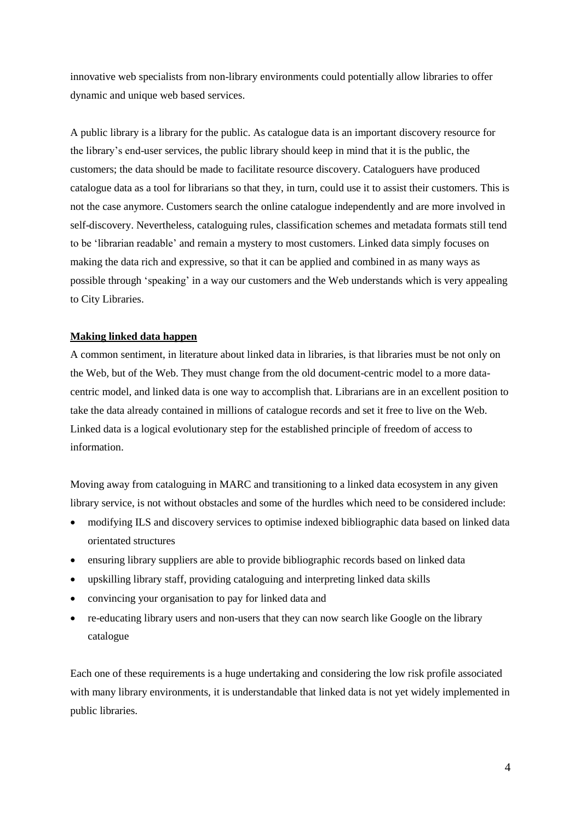innovative web specialists from non-library environments could potentially allow libraries to offer dynamic and unique web based services.

A public library is a library for the public. As catalogue data is an important discovery resource for the library's end-user services, the public library should keep in mind that it is the public, the customers; the data should be made to facilitate resource discovery. Cataloguers have produced catalogue data as a tool for librarians so that they, in turn, could use it to assist their customers. This is not the case anymore. Customers search the online catalogue independently and are more involved in self-discovery. Nevertheless, cataloguing rules, classification schemes and metadata formats still tend to be 'librarian readable' and remain a mystery to most customers. Linked data simply focuses on making the data rich and expressive, so that it can be applied and combined in as many ways as possible through 'speaking' in a way our customers and the Web understands which is very appealing to City Libraries.

## **Making linked data happen**

A common sentiment, in literature about linked data in libraries, is that libraries must be not only on the Web, but of the Web. They must change from the old document-centric model to a more datacentric model, and linked data is one way to accomplish that. Librarians are in an excellent position to take the data already contained in millions of catalogue records and set it free to live on the Web. Linked data is a logical evolutionary step for the established principle of freedom of access to information.

Moving away from cataloguing in MARC and transitioning to a linked data ecosystem in any given library service, is not without obstacles and some of the hurdles which need to be considered include:

- modifying ILS and discovery services to optimise indexed bibliographic data based on linked data orientated structures
- ensuring library suppliers are able to provide bibliographic records based on linked data
- upskilling library staff, providing cataloguing and interpreting linked data skills
- convincing your organisation to pay for linked data and
- re-educating library users and non-users that they can now search like Google on the library catalogue

Each one of these requirements is a huge undertaking and considering the low risk profile associated with many library environments, it is understandable that linked data is not yet widely implemented in public libraries.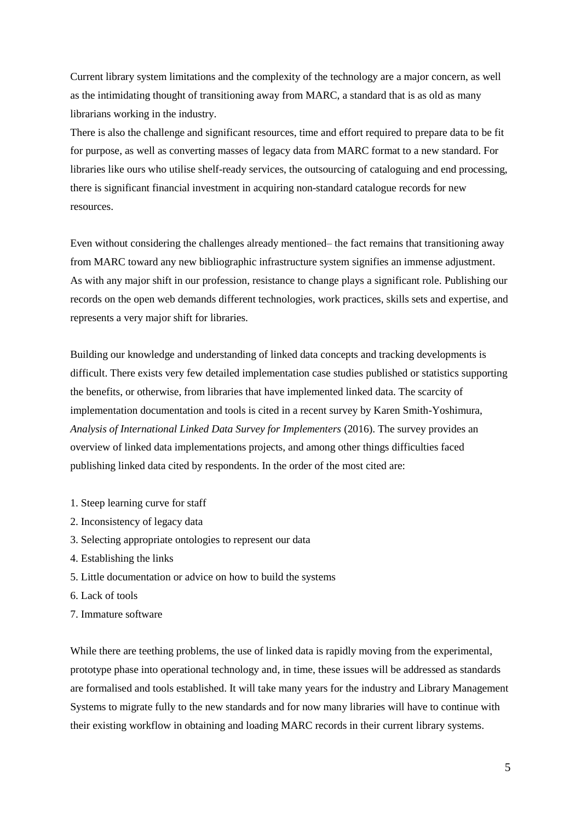Current library system limitations and the complexity of the technology are a major concern, as well as the intimidating thought of transitioning away from MARC, a standard that is as old as many librarians working in the industry.

There is also the challenge and significant resources, time and effort required to prepare data to be fit for purpose, as well as converting masses of legacy data from MARC format to a new standard. For libraries like ours who utilise shelf-ready services, the outsourcing of cataloguing and end processing, there is significant financial investment in acquiring non-standard catalogue records for new resources.

Even without considering the challenges already mentioned– the fact remains that transitioning away from MARC toward any new bibliographic infrastructure system signifies an immense adjustment. As with any major shift in our profession, resistance to change plays a significant role. Publishing our records on the open web demands different technologies, work practices, skills sets and expertise, and represents a very major shift for libraries.

Building our knowledge and understanding of linked data concepts and tracking developments is difficult. There exists very few detailed implementation case studies published or statistics supporting the benefits, or otherwise, from libraries that have implemented linked data. The scarcity of implementation documentation and tools is cited in a recent survey by Karen Smith-Yoshimura, *Analysis of International Linked Data Survey for Implementers* (2016). The survey provides an overview of linked data implementations projects, and among other things difficulties faced publishing linked data cited by respondents. In the order of the most cited are:

- 1. Steep learning curve for staff
- 2. Inconsistency of legacy data
- 3. Selecting appropriate ontologies to represent our data
- 4. Establishing the links
- 5. Little documentation or advice on how to build the systems
- 6. Lack of tools
- 7. Immature software

While there are teething problems, the use of linked data is rapidly moving from the experimental, prototype phase into operational technology and, in time, these issues will be addressed as standards are formalised and tools established. It will take many years for the industry and Library Management Systems to migrate fully to the new standards and for now many libraries will have to continue with their existing workflow in obtaining and loading MARC records in their current library systems.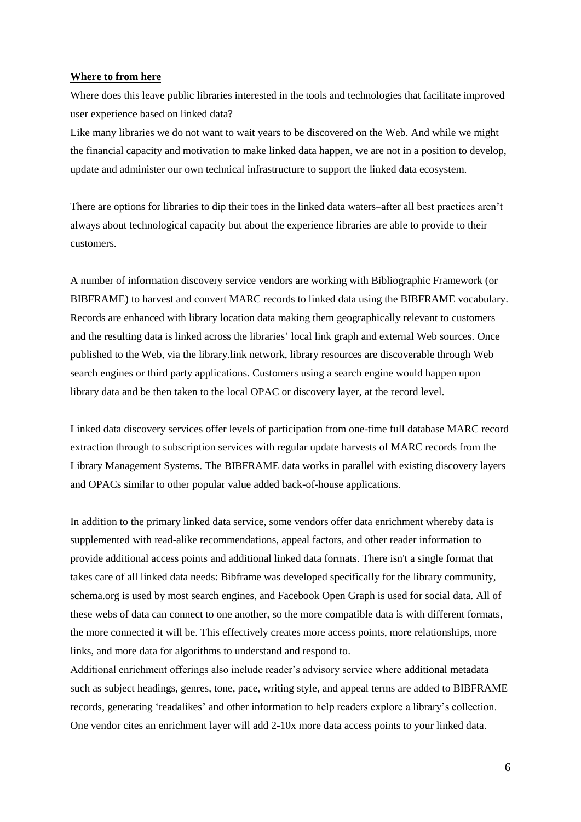#### **Where to from here**

Where does this leave public libraries interested in the tools and technologies that facilitate improved user experience based on linked data?

Like many libraries we do not want to wait years to be discovered on the Web. And while we might the financial capacity and motivation to make linked data happen, we are not in a position to develop, update and administer our own technical infrastructure to support the linked data ecosystem.

There are options for libraries to dip their toes in the linked data waters–after all best practices aren't always about technological capacity but about the experience libraries are able to provide to their customers.

A number of information discovery service vendors are working with Bibliographic Framework (or BIBFRAME) to harvest and convert MARC records to linked data using the BIBFRAME vocabulary. Records are enhanced with library location data making them geographically relevant to customers and the resulting data is linked across the libraries' local link graph and external Web sources. Once published to the Web, via the library.link network, library resources are discoverable through Web search engines or third party applications. Customers using a search engine would happen upon library data and be then taken to the local OPAC or discovery layer, at the record level.

Linked data discovery services offer levels of participation from one-time full database MARC record extraction through to subscription services with regular update harvests of MARC records from the Library Management Systems. The BIBFRAME data works in parallel with existing discovery layers and OPACs similar to other popular value added back-of-house applications.

In addition to the primary linked data service, some vendors offer data enrichment whereby data is supplemented with read-alike recommendations, appeal factors, and other reader information to provide additional access points and additional linked data formats. There isn't a single format that takes care of all linked data needs: Bibframe was developed specifically for the library community, schema.org is used by most search engines, and Facebook Open Graph is used for social data. All of these webs of data can connect to one another, so the more compatible data is with different formats, the more connected it will be. This effectively creates more access points, more relationships, more links, and more data for algorithms to understand and respond to.

Additional enrichment offerings also include reader's advisory service where additional metadata such as subject headings, genres, tone, pace, writing style, and appeal terms are added to BIBFRAME records, generating 'readalikes' and other information to help readers explore a library's collection. One vendor cites an enrichment layer will add 2-10x more data access points to your linked data.